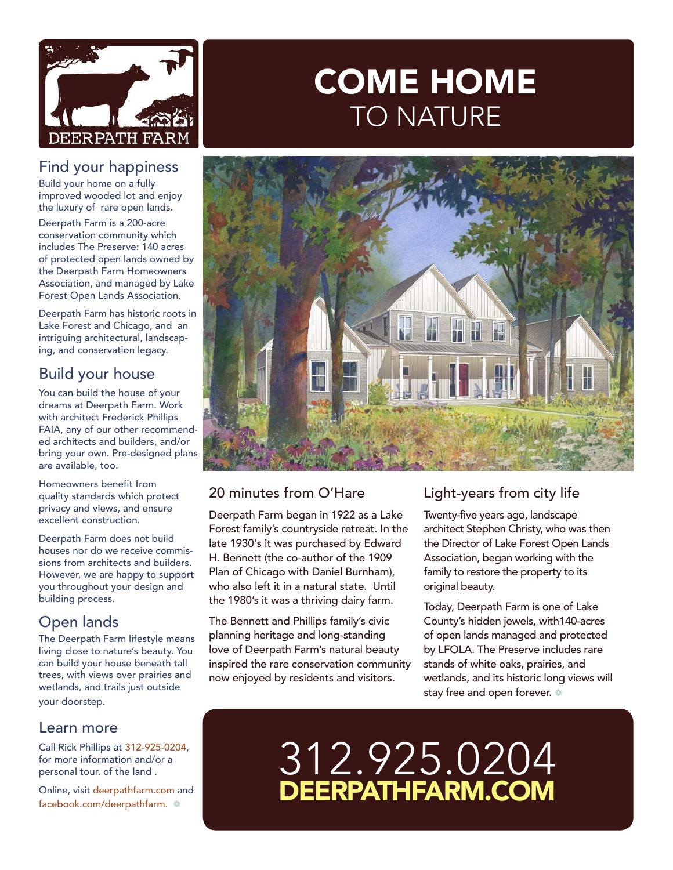

#### Find your happiness

Build your home on a fully improved wooded lot and enjoy the luxury of rare open lands.

Deerpath Farm is a 200-acre conservation community which includes The Preserve: 140 acres of protected open lands owned by the Deerpath Farm Homeowners Association, and managed by Lake Forest Open Lands Association.

Deerpath Farm has historic roots in Lake Forest and Chicago, and an intriguing architectural, landscaping, and conservation legacy.

## Build your house

You can build the house of your dreams at Deerpath Farm. Work with architect Frederick Phillips FAIA, any of our other recommended architects and builders, and/or bring your own. Pre-designed plans are available, too.

Homeowners benefit from quality standards which protect privacy and views, and ensure excellent construction.

Deerpath Farm does not build houses nor do we receive commissions from architects and builders. However, we are happy to support you throughout your design and building process.

## Open lands

The Deerpath Farm lifestyle means living close to nature's beauty. You can build your house beneath tall trees, with views over prairies and wetlands, and trails just outside your doorstep.

#### Learn more

Call Rick Phillips at 312-925-0204, for more information and/or a personal tour. of the land .

Online, visit deerpathfarm.com and facebook.com/deerpathfarm.

# COME HOME TO NATURE



### 20 minutes from O'Hare

Deerpath Farm began in 1922 as a Lake Forest family's countryside retreat. In the late 1930's it was purchased by Edward H. Bennett (the co-author of the 1909 Plan of Chicago with Daniel Burnham), who also left it in a natural state. Until the 1980's it was a thriving dairy farm.

The Bennett and Phillips family's civic planning heritage and long-standing love of Deerpath Farm's natural beauty inspired the rare conservation community now enjoyed by residents and visitors.

### Light-years from city life

Twenty-five years ago, landscape architect Stephen Christy, who was then the Director of Lake Forest Open Lands Association, began working with the family to restore the property to its original beauty.

Today, Deerpath Farm is one of Lake County's hidden jewels, with140-acres of open lands managed and protected by LFOLA. The Preserve includes rare stands of white oaks, prairies, and wetlands, and its historic long views will stay free and open forever.  $\circledast$ 

# 312.925.0204 DEERPATHFARM.COM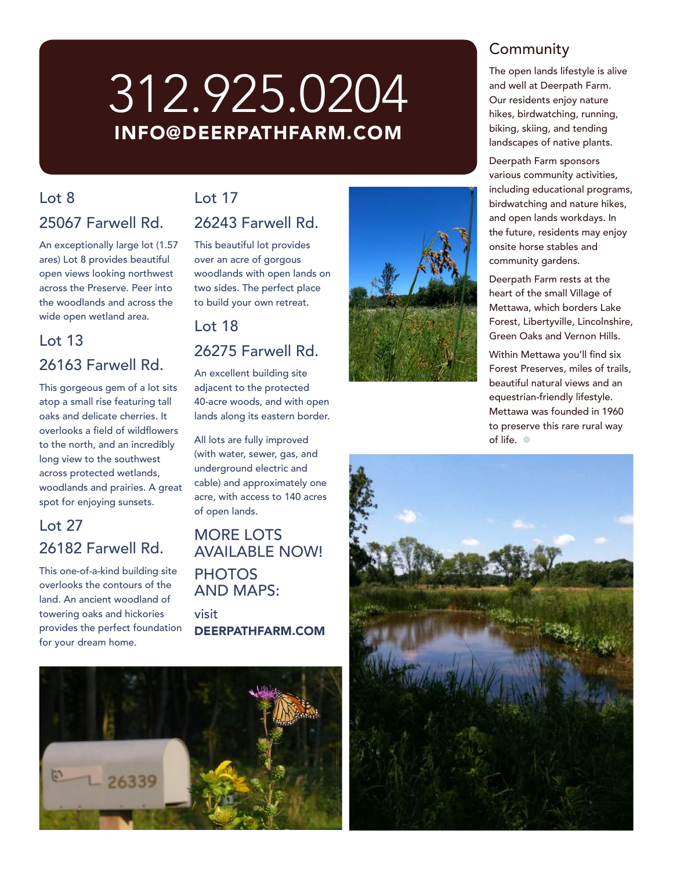# 312.925.0204 INFO@DEERPATHFARM.COM

# $\ln 8$ 25067 Farwell Rd.

An exceptionally large lot (1.57 ares) Lot 8 provides beautiful open views looking northwest across the Preserve. Peer into the woodlands and across the wide open wetland area.

#### Lot 13

### 26163 Farwell Rd.

This gorgeous gem of a lot sits atop a small rise featuring tall oaks and delicate cherries. It overlooks a field of wildflowers to the north, and an incredibly long view to the southwest across protected wetlands, woodlands and prairies. A great spot for enjoying sunsets.

# Lot 27 26182 Farwell Rd.

This one-of-a-kind building site overlooks the contours of the land. An ancient woodland of towering oaks and hickories provides the perfect foundation for your dream home.

# $Int 17$

### 26243 Farwell Rd.

This beautiful lot provides over an acre of gorgous woodlands with open lands on two sides. The perfect place to build your own retreat.

## Lot 18 26275 Farwell Rd.

An excellent building site adjacent to the protected 40-acre woods, and with open lands along its eastern border.

All lots are fully improved (with water, sewer, gas, and underground electric and cable) and approximately one acre, with access to 140 acres of open lands.

#### MORE LOTS AVAILABLE NOW! **PHOTOS** AND MAPS:

visit DEERPATHFARM.COM





## **Community**

The open lands lifestyle is alive and well at Deerpath Farm. Our residents enjoy nature hikes, birdwatching, running, biking, skiing, and tending landscapes of native plants.

Deerpath Farm sponsors various community activities, including educational programs, birdwatching and nature hikes, and open lands workdays. In the future, residents may enjoy onsite horse stables and community gardens.

Deerpath Farm rests at the heart of the small Village of Mettawa, which borders Lake Forest, Libertyville, Lincolnshire, Green Oaks and Vernon Hills.

Within Mettawa you'll find six Forest Preserves, miles of trails, beautiful natural views and an equestrian-friendly lifestyle. Mettawa was founded in 1960 to preserve this rare rural way of life.  $\circ$ 

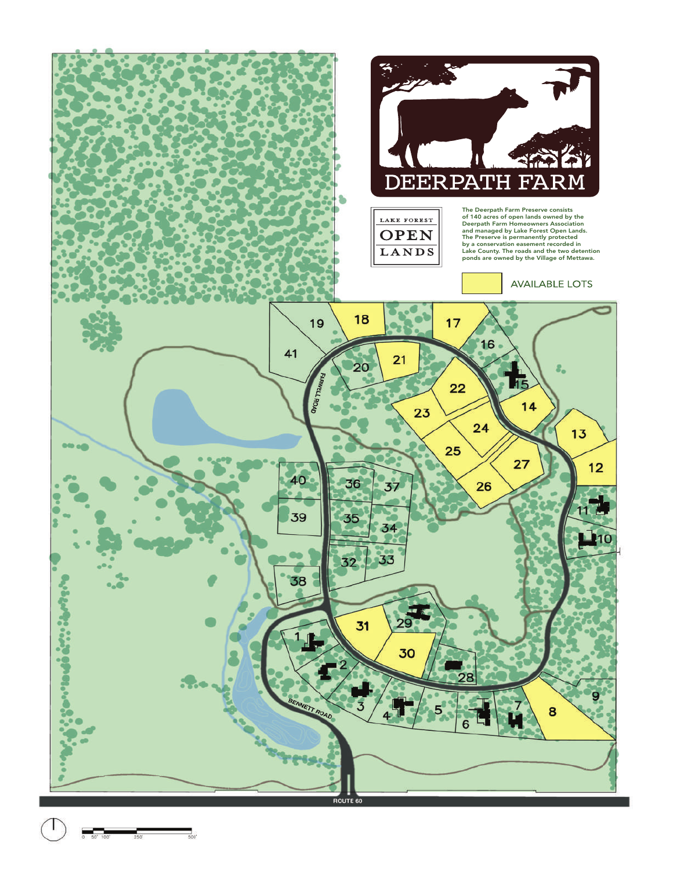